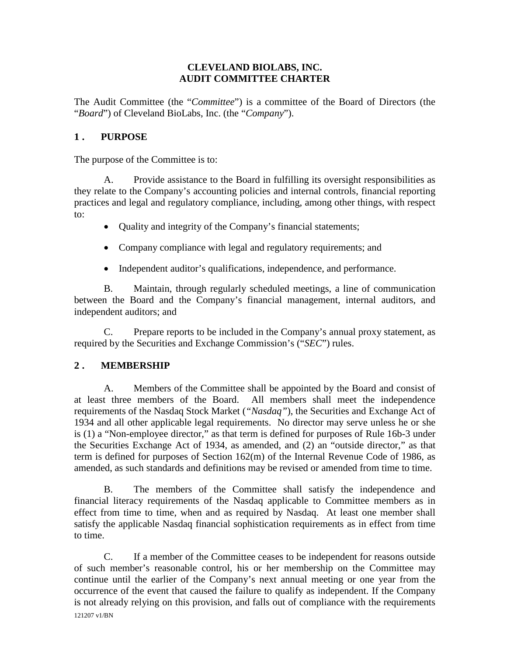## **CLEVELAND BIOLABS, INC. AUDIT COMMITTEE CHARTER**

The Audit Committee (the "*Committee*") is a committee of the Board of Directors (the "*Board*") of Cleveland BioLabs, Inc. (the "*Company*").

# **1 . PURPOSE**

The purpose of the Committee is to:

A. Provide assistance to the Board in fulfilling its oversight responsibilities as they relate to the Company's accounting policies and internal controls, financial reporting practices and legal and regulatory compliance, including, among other things, with respect to:

- Quality and integrity of the Company's financial statements;
- Company compliance with legal and regulatory requirements; and
- Independent auditor's qualifications, independence, and performance.

B. Maintain, through regularly scheduled meetings, a line of communication between the Board and the Company's financial management, internal auditors, and independent auditors; and

C. Prepare reports to be included in the Company's annual proxy statement, as required by the Securities and Exchange Commission's ("*SEC*") rules.

## **2 . MEMBERSHIP**

A. Members of the Committee shall be appointed by the Board and consist of at least three members of the Board. All members shall meet the independence requirements of the Nasdaq Stock Market (*"Nasdaq"*), the Securities and Exchange Act of 1934 and all other applicable legal requirements. No director may serve unless he or she is (1) a "Non-employee director," as that term is defined for purposes of Rule 16b-3 under the Securities Exchange Act of 1934, as amended, and (2) an "outside director," as that term is defined for purposes of Section 162(m) of the Internal Revenue Code of 1986, as amended, as such standards and definitions may be revised or amended from time to time.

B. The members of the Committee shall satisfy the independence and financial literacy requirements of the Nasdaq applicable to Committee members as in effect from time to time, when and as required by Nasdaq. At least one member shall satisfy the applicable Nasdaq financial sophistication requirements as in effect from time to time.

121207 v1/BN C. If a member of the Committee ceases to be independent for reasons outside of such member's reasonable control, his or her membership on the Committee may continue until the earlier of the Company's next annual meeting or one year from the occurrence of the event that caused the failure to qualify as independent. If the Company is not already relying on this provision, and falls out of compliance with the requirements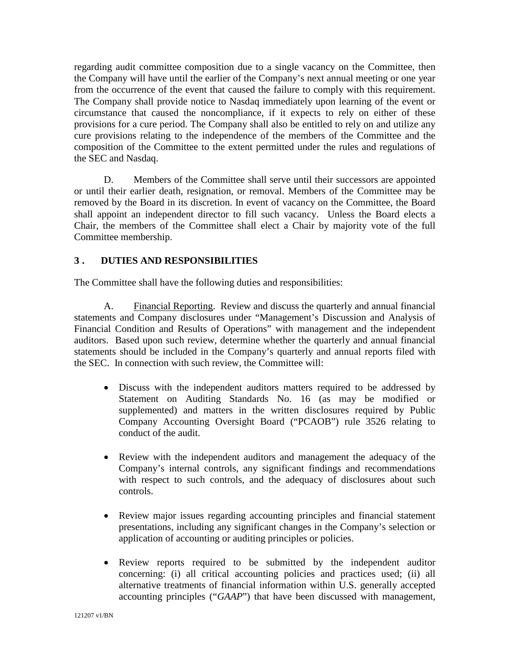regarding audit committee composition due to a single vacancy on the Committee, then the Company will have until the earlier of the Company's next annual meeting or one year from the occurrence of the event that caused the failure to comply with this requirement. The Company shall provide notice to Nasdaq immediately upon learning of the event or circumstance that caused the noncompliance, if it expects to rely on either of these provisions for a cure period. The Company shall also be entitled to rely on and utilize any cure provisions relating to the independence of the members of the Committee and the composition of the Committee to the extent permitted under the rules and regulations of the SEC and Nasdaq.

D. Members of the Committee shall serve until their successors are appointed or until their earlier death, resignation, or removal. Members of the Committee may be removed by the Board in its discretion. In event of vacancy on the Committee, the Board shall appoint an independent director to fill such vacancy. Unless the Board elects a Chair, the members of the Committee shall elect a Chair by majority vote of the full Committee membership.

## **3 . DUTIES AND RESPONSIBILITIES**

The Committee shall have the following duties and responsibilities:

A. Financial Reporting. Review and discuss the quarterly and annual financial statements and Company disclosures under "Management's Discussion and Analysis of Financial Condition and Results of Operations" with management and the independent auditors. Based upon such review, determine whether the quarterly and annual financial statements should be included in the Company's quarterly and annual reports filed with the SEC. In connection with such review, the Committee will:

- Discuss with the independent auditors matters required to be addressed by Statement on Auditing Standards No. 16 (as may be modified or supplemented) and matters in the written disclosures required by Public Company Accounting Oversight Board ("PCAOB") rule 3526 relating to conduct of the audit.
- Review with the independent auditors and management the adequacy of the Company's internal controls, any significant findings and recommendations with respect to such controls, and the adequacy of disclosures about such controls.
- Review major issues regarding accounting principles and financial statement presentations, including any significant changes in the Company's selection or application of accounting or auditing principles or policies.
- Review reports required to be submitted by the independent auditor concerning: (i) all critical accounting policies and practices used; (ii) all alternative treatments of financial information within U.S. generally accepted accounting principles ("*GAAP*") that have been discussed with management,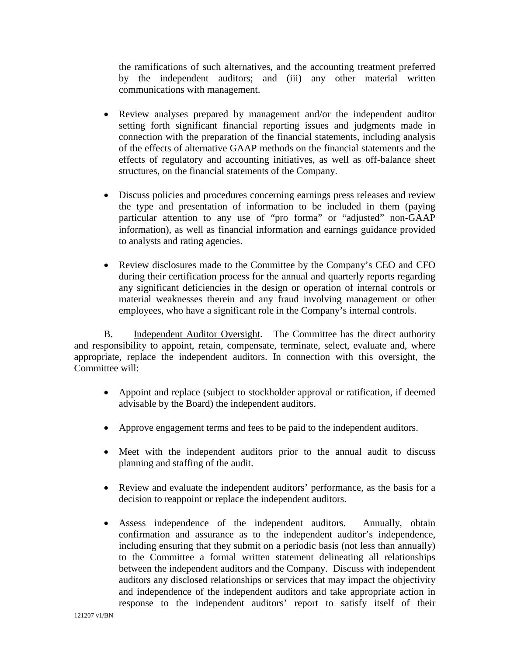the ramifications of such alternatives, and the accounting treatment preferred by the independent auditors; and (iii) any other material written communications with management.

- Review analyses prepared by management and/or the independent auditor setting forth significant financial reporting issues and judgments made in connection with the preparation of the financial statements, including analysis of the effects of alternative GAAP methods on the financial statements and the effects of regulatory and accounting initiatives, as well as off-balance sheet structures, on the financial statements of the Company.
- Discuss policies and procedures concerning earnings press releases and review the type and presentation of information to be included in them (paying particular attention to any use of "pro forma" or "adjusted" non-GAAP information), as well as financial information and earnings guidance provided to analysts and rating agencies.
- Review disclosures made to the Committee by the Company's CEO and CFO during their certification process for the annual and quarterly reports regarding any significant deficiencies in the design or operation of internal controls or material weaknesses therein and any fraud involving management or other employees, who have a significant role in the Company's internal controls.

B. Independent Auditor Oversight. The Committee has the direct authority and responsibility to appoint, retain, compensate, terminate, select, evaluate and, where appropriate, replace the independent auditors. In connection with this oversight, the Committee will:

- Appoint and replace (subject to stockholder approval or ratification, if deemed advisable by the Board) the independent auditors.
- Approve engagement terms and fees to be paid to the independent auditors.
- Meet with the independent auditors prior to the annual audit to discuss planning and staffing of the audit.
- Review and evaluate the independent auditors' performance, as the basis for a decision to reappoint or replace the independent auditors.
- Assess independence of the independent auditors. Annually, obtain confirmation and assurance as to the independent auditor's independence, including ensuring that they submit on a periodic basis (not less than annually) to the Committee a formal written statement delineating all relationships between the independent auditors and the Company. Discuss with independent auditors any disclosed relationships or services that may impact the objectivity and independence of the independent auditors and take appropriate action in response to the independent auditors' report to satisfy itself of their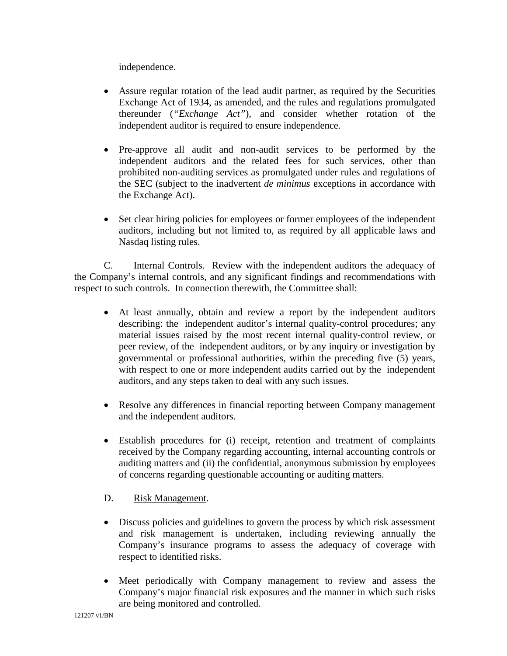independence.

- Assure regular rotation of the lead audit partner, as required by the Securities Exchange Act of 1934, as amended, and the rules and regulations promulgated thereunder (*"Exchange Act"*), and consider whether rotation of the independent auditor is required to ensure independence.
- Pre-approve all audit and non-audit services to be performed by the independent auditors and the related fees for such services, other than prohibited non-auditing services as promulgated under rules and regulations of the SEC (subject to the inadvertent *de minimus* exceptions in accordance with the Exchange Act).
- Set clear hiring policies for employees or former employees of the independent auditors, including but not limited to, as required by all applicable laws and Nasdaq listing rules.

C. Internal Controls. Review with the independent auditors the adequacy of the Company's internal controls, and any significant findings and recommendations with respect to such controls. In connection therewith, the Committee shall:

- At least annually, obtain and review a report by the independent auditors describing: the independent auditor's internal quality-control procedures; any material issues raised by the most recent internal quality-control review, or peer review, of the independent auditors, or by any inquiry or investigation by governmental or professional authorities, within the preceding five (5) years, with respect to one or more independent audits carried out by the independent auditors, and any steps taken to deal with any such issues.
- Resolve any differences in financial reporting between Company management and the independent auditors.
- Establish procedures for (i) receipt, retention and treatment of complaints received by the Company regarding accounting, internal accounting controls or auditing matters and (ii) the confidential, anonymous submission by employees of concerns regarding questionable accounting or auditing matters.

## D. Risk Management.

- Discuss policies and guidelines to govern the process by which risk assessment and risk management is undertaken, including reviewing annually the Company's insurance programs to assess the adequacy of coverage with respect to identified risks.
- Meet periodically with Company management to review and assess the Company's major financial risk exposures and the manner in which such risks are being monitored and controlled.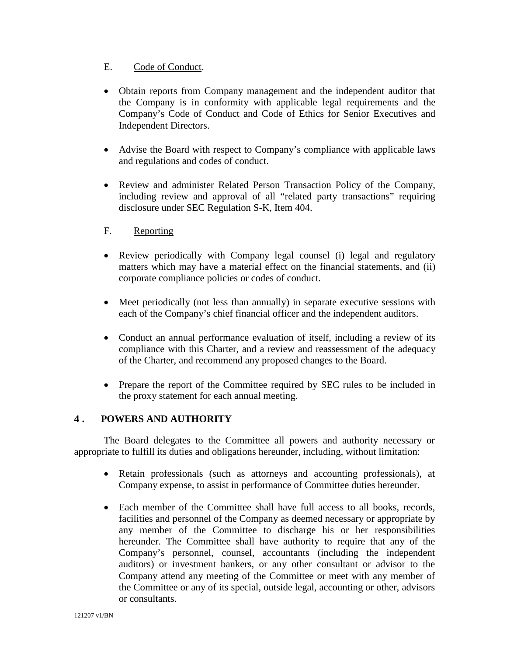### E. Code of Conduct.

- Obtain reports from Company management and the independent auditor that the Company is in conformity with applicable legal requirements and the Company's Code of Conduct and Code of Ethics for Senior Executives and Independent Directors.
- Advise the Board with respect to Company's compliance with applicable laws and regulations and codes of conduct.
- Review and administer Related Person Transaction Policy of the Company, including review and approval of all "related party transactions" requiring disclosure under SEC Regulation S-K, Item 404.
- F. Reporting
- Review periodically with Company legal counsel (i) legal and regulatory matters which may have a material effect on the financial statements, and (ii) corporate compliance policies or codes of conduct.
- Meet periodically (not less than annually) in separate executive sessions with each of the Company's chief financial officer and the independent auditors.
- Conduct an annual performance evaluation of itself, including a review of its compliance with this Charter, and a review and reassessment of the adequacy of the Charter, and recommend any proposed changes to the Board.
- Prepare the report of the Committee required by SEC rules to be included in the proxy statement for each annual meeting.

## **4 . POWERS AND AUTHORITY**

The Board delegates to the Committee all powers and authority necessary or appropriate to fulfill its duties and obligations hereunder, including, without limitation:

- Retain professionals (such as attorneys and accounting professionals), at Company expense, to assist in performance of Committee duties hereunder.
- Each member of the Committee shall have full access to all books, records, facilities and personnel of the Company as deemed necessary or appropriate by any member of the Committee to discharge his or her responsibilities hereunder. The Committee shall have authority to require that any of the Company's personnel, counsel, accountants (including the independent auditors) or investment bankers, or any other consultant or advisor to the Company attend any meeting of the Committee or meet with any member of the Committee or any of its special, outside legal, accounting or other, advisors or consultants.